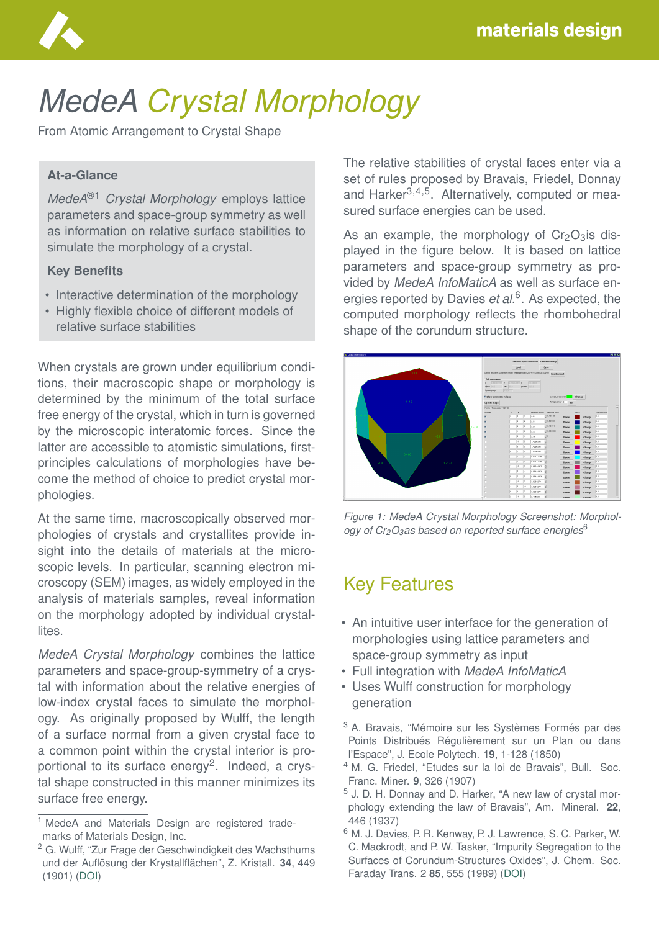

# *MedeA Crystal Morphology*

From Atomic Arrangement to Crystal Shape

#### **At-a-Glance**

*MedeA*®1 *Crystal Morphology* employs lattice parameters and space-group symmetry as well as information on relative surface stabilities to simulate the morphology of a crystal.

#### **Key Benefits**

- Interactive determination of the morphology
- Highly flexible choice of different models of relative surface stabilities

When crystals are grown under equilibrium conditions, their macroscopic shape or morphology is determined by the minimum of the total surface free energy of the crystal, which in turn is governed by the microscopic interatomic forces. Since the latter are accessible to atomistic simulations, firstprinciples calculations of morphologies have become the method of choice to predict crystal morphologies.

At the same time, macroscopically observed morphologies of crystals and crystallites provide insight into the details of materials at the microscopic levels. In particular, scanning electron microscopy (SEM) images, as widely employed in the analysis of materials samples, reveal information on the morphology adopted by individual crystallites.

*MedeA Crystal Morphology* combines the lattice parameters and space-group-symmetry of a crystal with information about the relative energies of low-index crystal faces to simulate the morphology. As originally proposed by Wulff, the length of a surface normal from a given crystal face to a common point within the crystal interior is proportional to its surface energy<sup>2</sup>. Indeed, a crystal shape constructed in this manner minimizes its surface free energy.

The relative stabilities of crystal faces enter via a set of rules proposed by Bravais, Friedel, Donnay and Harker<sup>3,4,5</sup>. Alternatively, computed or measured surface energies can be used.

As an example, the morphology of  $Cr_2O_3$  is displayed in the figure below. It is based on lattice parameters and space-group symmetry as provided by *MedeA InfoMaticA* as well as surface energies reported by Davies *et al.*<sup>6</sup> . As expected, the computed morphology reflects the rhombohedral shape of the corundum structure.



*Figure 1: MedeA Crystal Morphology Screenshot: Morphology of Cr2O3as based on reported surface energies*<sup>6</sup>

## Key Features

- An intuitive user interface for the generation of morphologies using lattice parameters and space-group symmetry as input
- Full integration with *MedeA InfoMaticA*
- Uses Wulff construction for morphology generation

<sup>&</sup>lt;sup>1</sup> MedeA and Materials Design are registered trademarks of Materials Design, Inc.

<sup>2</sup> G. Wulff, "Zur Frage der Geschwindigkeit des Wachsthums und der Auflösung der Krystallflächen", Z. Kristall. 34, 449 (1901) [\(DOI\)](https://doi.org/10.1524/zkri.1901.34.1.449)

 $3$  A. Bravais, "Mémoire sur les Systèmes Formés par des Points Distribués Régulièrement sur un Plan ou dans l'Espace", J. Ecole Polytech. **19**, 1-128 (1850)

<sup>4</sup> M. G. Friedel, "Etudes sur la loi de Bravais", Bull. Soc. Franc. Miner. **9**, 326 (1907)

<sup>5</sup> J. D. H. Donnay and D. Harker, "A new law of crystal morphology extending the law of Bravais", Am. Mineral. **22**, 446 (1937)

<sup>6</sup> M. J. Davies, P. R. Kenway, P. J. Lawrence, S. C. Parker, W. C. Mackrodt, and P. W. Tasker, "Impurity Segregation to the Surfaces of Corundum-Structures Oxides", J. Chem. Soc. Faraday Trans. 2 **85**, 555 (1989) [\(DOI\)](https://doi.org/10.1039/F29898500555)